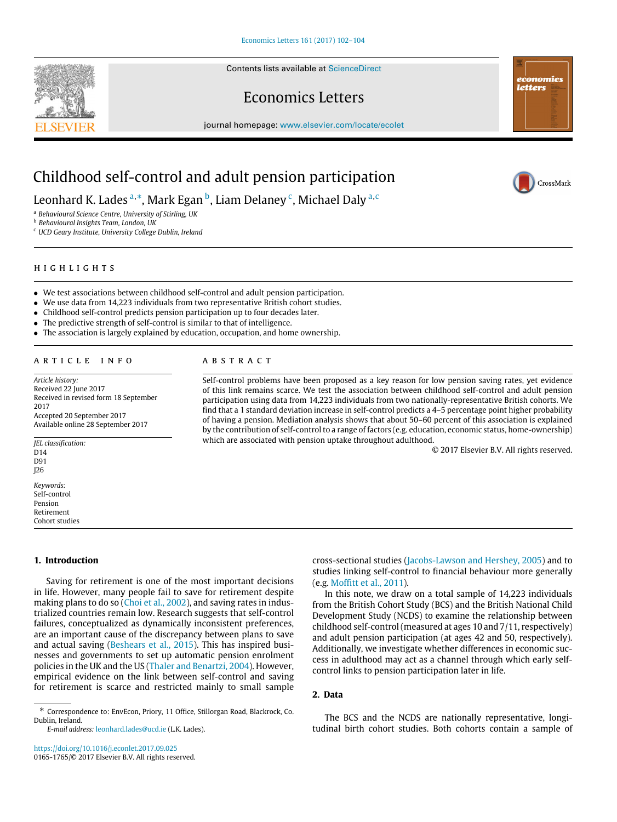Contents lists available at [ScienceDirect](http://www.elsevier.com/locate/ecolet)



CrossMark

Economics Letters journal homepage: [www.elsevier.com/locate/ecolet](http://www.elsevier.com/locate/ecolet)

# Childhood self-control and adult pension participation

Leonhard K. Lades <sup>[a,](#page-0-0)[\\*](#page-0-1)</sup>, Mark Egan <sup>[b](#page-0-2)</sup>, Liam Delaney <sup>[c](#page-0-3)</sup>, Michael Daly <sup>a,c</sup>

<span id="page-0-0"></span><sup>a</sup> *Behavioural Science Centre, University of Stirling, UK*

<span id="page-0-2"></span><sup>b</sup> *Behavioural Insights Team, London, UK*

<span id="page-0-3"></span><sup>c</sup> *UCD Geary Institute, University College Dublin, Ireland*

# h i g h l i g h t s

- We test associations between childhood self-control and adult pension participation.
- We use data from 14,223 individuals from two representative British cohort studies.
- Childhood self-control predicts pension participation up to four decades later.
- The predictive strength of self-control is similar to that of intelligence.
- The association is largely explained by education, occupation, and home ownership.

#### a r t i c l e i n f o

*Article history:* Received 22 June 2017 Received in revised form 18 September 2017 Accepted 20 September 2017 Available online 28 September 2017

*JEL classification:* D<sub>14</sub> D91 J26 *Keywords:*

Self-control Pension Retirement Cohort studies

#### **1. Introduction**

Saving for retirement is one of the most important decisions in life. However, many people fail to save for retirement despite making plans to do so [\(Choi](#page-2-0) [et](#page-2-0) [al.,](#page-2-0) [2002\)](#page-2-0), and saving rates in industrialized countries remain low. Research suggests that self-control failures, conceptualized as dynamically inconsistent preferences, are an important cause of the discrepancy between plans to save and actual saving [\(Beshears](#page-2-1) [et](#page-2-1) [al.,](#page-2-1) [2015\)](#page-2-1). This has inspired businesses and governments to set up automatic pension enrolment policies in the UK and the US [\(Thaler](#page-2-2) [and](#page-2-2) [Benartzi,](#page-2-2) [2004\)](#page-2-2). However, empirical evidence on the link between self-control and saving for retirement is scarce and restricted mainly to small sample

*E-mail address:* [leonhard.lades@ucd.ie](mailto:leonhard.lades@ucd.ie) (L.K. Lades).

<https://doi.org/10.1016/j.econlet.2017.09.025> 0165-1765/© 2017 Elsevier B.V. All rights reserved.

#### A B S T R A C T

Self-control problems have been proposed as a key reason for low pension saving rates, yet evidence of this link remains scarce. We test the association between childhood self-control and adult pension participation using data from 14,223 individuals from two nationally-representative British cohorts. We find that a 1 standard deviation increase in self-control predicts a 4–5 percentage point higher probability of having a pension. Mediation analysis shows that about 50–60 percent of this association is explained by the contribution of self-control to a range of factors (e.g. education, economic status, home-ownership) which are associated with pension uptake throughout adulthood.

© 2017 Elsevier B.V. All rights reserved.

cross-sectional studies [\(Jacobs-Lawson](#page-2-3) [and](#page-2-3) [Hershey,](#page-2-3) [2005\)](#page-2-3) and to studies linking self-control to financial behaviour more generally (e.g. [Moffitt](#page-2-4) [et](#page-2-4) [al.,](#page-2-4) [2011\)](#page-2-4).

In this note, we draw on a total sample of 14,223 individuals from the British Cohort Study (BCS) and the British National Child Development Study (NCDS) to examine the relationship between childhood self-control (measured at ages 10 and 7/11, respectively) and adult pension participation (at ages 42 and 50, respectively). Additionally, we investigate whether differences in economic success in adulthood may act as a channel through which early selfcontrol links to pension participation later in life.

### **2. Data**

The BCS and the NCDS are nationally representative, longitudinal birth cohort studies. Both cohorts contain a sample of

<span id="page-0-1"></span><sup>\*</sup> Correspondence to: EnvEcon, Priory, 11 Office, Stillorgan Road, Blackrock, Co. Dublin, Ireland.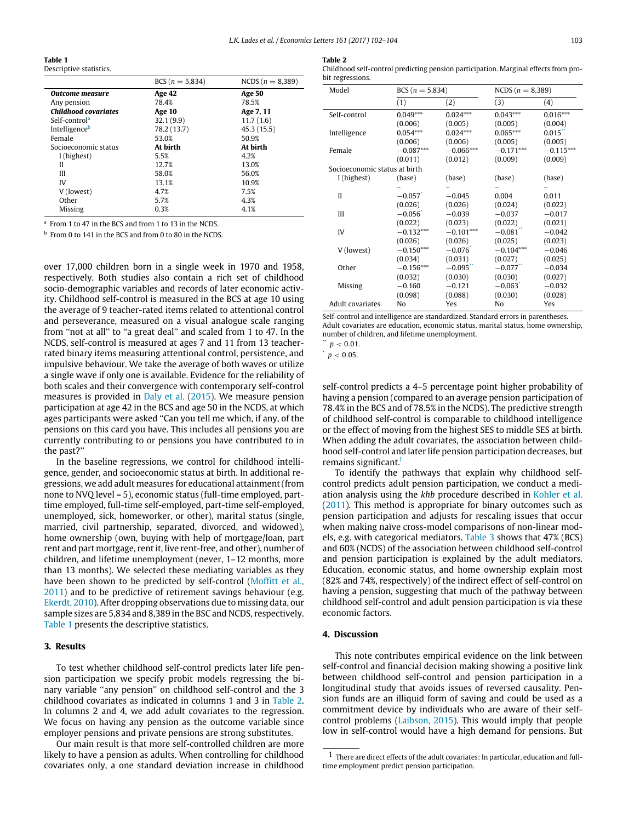<span id="page-1-2"></span>**Table 1** Descriptive statistics

|                             | $BCS(n = 5,834)$ | NCDS $(n = 8,389)$ |
|-----------------------------|------------------|--------------------|
| Outcome measure             | Age 42           | <b>Age 50</b>      |
| Any pension                 | 78.4%            | 78.5%              |
| <b>Childhood covariates</b> | Age 10           | Age 7, 11          |
| Self-control <sup>a</sup>   | 32.1(9.9)        | 11.7(1.6)          |
| Intelligenceb               | 78.2 (13.7)      | 45.3(15.5)         |
| Female                      | 53.0%            | 50.9%              |
| Socioeconomic status        | At birth         | At birth           |
| I (highest)                 | 5.5%             | 4.2%               |
| Н                           | 12.7%            | 13.0%              |
| Ш                           | 58.0%            | 56.0%              |
| IV                          | 13.1%            | 10.9%              |
| V (lowest)                  | 4.7%             | 7.5%               |
| Other                       | 5.7%             | 4.3%               |
| Missing                     | 0.3%             | 4.1%               |

<span id="page-1-0"></span>a From 1 to 47 in the BCS and from 1 to 13 in the NCDS.

<span id="page-1-1"></span>b From 0 to 141 in the BCS and from 0 to 80 in the NCDS.

over 17,000 children born in a single week in 1970 and 1958, respectively. Both studies also contain a rich set of childhood socio-demographic variables and records of later economic activity. Childhood self-control is measured in the BCS at age 10 using the average of 9 teacher-rated items related to attentional control and perseverance, measured on a visual analogue scale ranging from ''not at all'' to ''a great deal'' and scaled from 1 to 47. In the NCDS, self-control is measured at ages 7 and 11 from 13 teacherrated binary items measuring attentional control, persistence, and impulsive behaviour. We take the average of both waves or utilize a single wave if only one is available. Evidence for the reliability of both scales and their convergence with contemporary self-control measures is provided in [Daly](#page-2-5) [et](#page-2-5) [al.](#page-2-5) [\(2015\)](#page-2-5). We measure pension participation at age 42 in the BCS and age 50 in the NCDS, at which ages participants were asked ''Can you tell me which, if any, of the pensions on this card you have. This includes all pensions you are currently contributing to or pensions you have contributed to in the past?''

In the baseline regressions, we control for childhood intelligence, gender, and socioeconomic status at birth. In additional regressions, we add adult measures for educational attainment (from none to NVQ level = 5), economic status (full-time employed, parttime employed, full-time self-employed, part-time self-employed, unemployed, sick, homeworker, or other), marital status (single, married, civil partnership, separated, divorced, and widowed), home ownership (own, buying with help of mortgage/loan, part rent and part mortgage, rent it, live rent-free, and other), number of children, and lifetime unemployment (never, 1–12 months, more than 13 months). We selected these mediating variables as they have been shown to be predicted by self-control [\(Moffitt](#page-2-4) [et](#page-2-4) [al.,](#page-2-4) [2011\)](#page-2-4) and to be predictive of retirement savings behaviour (e.g. [Ekerdt,](#page-2-6) [2010\)](#page-2-6). After dropping observations due to missing data, our sample sizes are 5,834 and 8,389 in the BSC and NCDS, respectively. [Table](#page-1-2) [1](#page-1-2) presents the descriptive statistics.

#### **3. Results**

To test whether childhood self-control predicts later life pension participation we specify probit models regressing the binary variable ''any pension'' on childhood self-control and the 3 childhood covariates as indicated in columns 1 and 3 in [Table](#page-1-3) [2.](#page-1-3) In columns 2 and 4, we add adult covariates to the regression. We focus on having any pension as the outcome variable since employer pensions and private pensions are strong substitutes.

Our main result is that more self-controlled children are more likely to have a pension as adults. When controlling for childhood covariates only, a one standard deviation increase in childhood

<span id="page-1-3"></span>

Childhood self-control predicting pension participation. Marginal effects from probit regressions.

| Model                         | $BCS(n = 5,834)$ |             | NCDS $(n = 8,389)$ |                       |
|-------------------------------|------------------|-------------|--------------------|-----------------------|
|                               | (1)              | (2)         | (3)                | (4)                   |
| Self-control                  | $0.049***$       | $0.024***$  | $0.043***$         | $0.016***$            |
|                               | (0.006)          | (0.005)     | (0.005)            | (0.004)               |
| Intelligence                  | $0.054***$       | $0.024***$  | $0.065***$         | $0.015$ <sup>**</sup> |
|                               | (0.006)          | (0.006)     | (0.005)            | (0.005)               |
| Female                        | $-0.087***$      | $-0.066***$ | $-0.171***$        | $-0.115***$           |
|                               | (0.011)          | (0.012)     | (0.009)            | (0.009)               |
| Socioeconomic status at birth |                  |             |                    |                       |
| I (highest)                   | (base)           | (base)      | (base)             | (base)                |
|                               |                  |             |                    |                       |
| Н                             | $-0.057$         | $-0.045$    | 0.004              | 0.011                 |
|                               | (0.026)          | (0.026)     | (0.024)            | (0.022)               |
| Ш                             | $-0.056$         | $-0.039$    | $-0.037$           | $-0.017$              |
|                               | (0.022)          | (0.023)     | (0.022)            | (0.021)               |
| IV                            | $-0.132***$      | $-0.101***$ | $-0.081$           | $-0.042$              |
|                               | (0.026)          | (0.026)     | (0.025)            | (0.023)               |
| V (lowest)                    | $-0.150***$      | $-0.076$    | $-0.104***$        | $-0.046$              |
|                               | (0.034)          | (0.031)     | (0.027)            | (0.025)               |
| Other                         | $-0.156***$      | $-0.095$    | $-0.077$           | $-0.034$              |
|                               | (0.032)          | (0.030)     | (0.030)            | (0.027)               |
| Missing                       | $-0.160$         | $-0.121$    | $-0.063$           | $-0.032$              |
|                               | (0.098)          | (0.088)     | (0.030)            | (0.028)               |
| Adult covariates              | No               | Yes         | No                 | Yes                   |

Self-control and intelligence are standardized. Standard errors in parentheses. Adult covariates are education, economic status, marital status, home ownership, number of children, and lifetime unemployment.

<span id="page-1-5"></span> $p < 0.05$ .

self-control predicts a 4–5 percentage point higher probability of having a pension (compared to an average pension participation of 78.4% in the BCS and of 78.5% in the NCDS). The predictive strength of childhood self-control is comparable to childhood intelligence or the effect of moving from the highest SES to middle SES at birth. When adding the adult covariates, the association between childhood self-control and later life pension participation decreases, but remains significant.<sup>[1](#page-1-6)</sup>

To identify the pathways that explain why childhood selfcontrol predicts adult pension participation, we conduct a mediation analysis using the *khb* procedure described in [Kohler](#page-2-7) [et](#page-2-7) [al.](#page-2-7) [\(2011\)](#page-2-7). This method is appropriate for binary outcomes such as pension participation and adjusts for rescaling issues that occur when making naïve cross-model comparisons of non-linear models, e.g. with categorical mediators. [Table](#page-2-8) [3](#page-2-8) shows that 47% (BCS) and 60% (NCDS) of the association between childhood self-control and pension participation is explained by the adult mediators. Education, economic status, and home ownership explain most (82% and 74%, respectively) of the indirect effect of self-control on having a pension, suggesting that much of the pathway between childhood self-control and adult pension participation is via these economic factors.

# **4. Discussion**

This note contributes empirical evidence on the link between self-control and financial decision making showing a positive link between childhood self-control and pension participation in a longitudinal study that avoids issues of reversed causality. Pension funds are an illiquid form of saving and could be used as a commitment device by individuals who are aware of their selfcontrol problems [\(Laibson,](#page-2-9) [2015\)](#page-2-9). This would imply that people low in self-control would have a high demand for pensions. But

<span id="page-1-4"></span> $p < 0.01$ .

<span id="page-1-6"></span> $1$  There are direct effects of the adult covariates: In particular, education and fulltime employment predict pension participation.